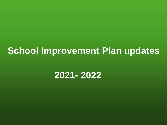# **School Improvement Plan updates**

## **2021- 2022**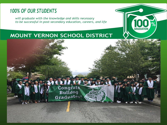### **100% OF OUR STUDENTS**

will graduate with the knowledge and skills necessary to be successful in post-secondary education, careers, and life



### MOUNT VERNON SCHOOL DISTRICT

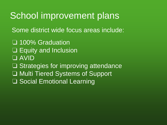# School improvement plans

Some district wide focus areas include:

❏ 100% Graduation ❏ Equity and Inclusion ❏ AVID ❏ Strategies for improving attendance ❏ Multi Tiered Systems of Support ❏ Social Emotional Learning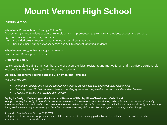# **Mount Vernon High School**

#### Priority Areas

#### **Schoolwide Priority/Reform Strategy #1 (SWP1)**

Access to rigor and student support are in place and implemented to promote all students access and success in rigorous, college-preparatory courses.

- Expanded CiHS curriculum programming across all content areas
- Tier I and Tier II supports for academics and SEL to connect identified students

#### **Schoolwide Priority/Reform Strategy #2 (SWP2)**

Professional Development Focus

#### **Grading for Equity**

•Learn equitable grading practices that are more accurate, bias-resistant, and motivational, and that disproportionately improve learning for historically-underserved students.

#### **Culturally Responsive Teaching and the Brain by Zaretta Hammond**

*The focus includes:*

- *Information on how one's culture programs the brain to process data and affects learning relationships*
- *Ten "key moves" to build students' learner operating systems and prepare them to become independent learners*
- *Prompts for action and valuable self-reflection*

#### **Equity by Design: Delivering on the Power and Promise of UDL by Mirko Chardin and Katie Novak**

Synopsis: *Equity by Design is intended to serve as a blueprint for teachers to alter the all-too-predictable outcomes for our historically under-served students. A first of its kind resource, the book makes the critical link between social justice and Universal Design for Learning (UDL) so that we can equip students (and teachers, too) with the will, skill, and collective capacity to enact positive change.*

#### Schoolwide Priority/Reform Strategy #3 (SWP3)

College Going Environment is a prominent expectation and students are actively guided by faculty and staff to meet college readiness requirements for post-secondary success.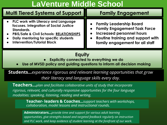### **LaVenture Middle School**

| <b>Multi Tiered Systems of Support</b>                                                                                                                                                                                                | <b>Family Engagement</b>                                                                                                                                                   |
|---------------------------------------------------------------------------------------------------------------------------------------------------------------------------------------------------------------------------------------|----------------------------------------------------------------------------------------------------------------------------------------------------------------------------|
| • PLC work with Literacy and Language<br>focuses. Integration of Social Justice<br>Standards.<br>PBIS/Safe & Civil Schools: RELATIONSHIPS<br>$\bullet$<br>Daily mentoring for specific students<br><b>Intervention/Tutorial Block</b> | <b>Family Leadership Board</b><br><b>Family Engagement Task Force</b><br>Increased personnel hours<br>Routine training and support with<br>family engagement for all staff |
| Equity<br>Explicitly connected to everything we do<br>Use of MVSD policy and guiding questions to inform all decision making<br>$\bullet$                                                                                             |                                                                                                                                                                            |
| <b>Students</b> experience rigorous and relevant learning opportunities that grow<br>their literacy and language skills every day.                                                                                                    |                                                                                                                                                                            |
| <b>County</b>                                                                                                                                                                                                                         |                                                                                                                                                                            |

**Teachers...***plan and facilitate collaborative units of study that incorporate rigorous, relevant, and culturally responsive opportunities for the four language modalities: speaking, listening, reading and writing.* 

> **Teacher- leaders & Coaches...***support teachers with workshops, collaboration, model lessons and instructional rounds.*

**Administrators...***provide time and support for various adult learning opportunities, give strengths-based and targeted feedback regularly on instruction and PLC work, and keep evidence of student learning at the forefront of our work.*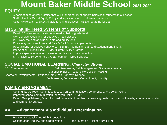# **Mount Baker Middle School 2021-2022**

### **EQUITY**

- A habit of mind and/or practice that will support equity of opportunities of all students in our school
- Staff will utilize Racial Equity Policy and equity lens tool to inform all decisions
- Culturally relevant and sustainable teaching practices UDL onboarding for staff

### **MTSS**, **Multi-Tiered Systems of Supports**

- Read 180 intervention for students reading below grade level
- UW Cel Math Coaching for detracked math classes
- PLC work focused on student data and equity lens
- **•** Positive system structures and Safe & Civil Schools implementation
- Recognitions for positive behaviors, RESPECT campaign, staff and student mental health
- Intervention/Tutorial Block SMART grant, SHARE grant
- **•** Improve special education inclusion practices and data collection
- **STAR District Screener and CARE Team for Tiered Supports**

#### **SOCIAL EMOTIONAL LEARNING,** *Character Strong*

SEL Competencies: Self Awareness, Self Management, Social Awareness, Relationship Skills, Responsible Decision Making Character Development: Patience, Kindness, Honesty, Respect, Selflessness, Forgiveness, Commitment, Humility

### **FAMILY ENGAGEMENT**

- Community Outreach Committee focused on communication, conferences, and celebrations
- Improved school communication family bulletin, REMIND
- Parent Group/Advisory Board focused on needs of families by providing guidance for school needs, speakers, education and community outreach

### **AVID, Advancement Via Individual Determination**

- **Relational Capacity and High Expectations**
- **•** Collaboration, Inquiry, and Organization and layers on Existing Curriculum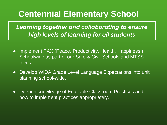## **Centennial Elementary School**

*Learning together and collaborating to ensure high levels of learning for all students*

- Implement PAX (Peace, Productivity, Health, Happiness) Schoolwide as part of our Safe & Civil Schools and MTSS focus.
- Develop WIDA Grade Level Language Expectations into unit planning school-wide.
- Deepen knowledge of Equitable Classroom Practices and how to implement practices appropriately.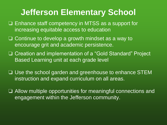## **Jefferson Elementary School**

- ❏ Enhance staff competency in MTSS as a support for increasing equitable access to education
- ❏ Continue to develop a growth mindset as a way to encourage grit and academic persistence.
- ❏ Creation and implementation of a "Gold Standard" Project Based Learning unit at each grade level
- ❏ Use the school garden and greenhouse to enhance STEM instruction and expand curriculum on all areas.
- ❏ Allow multiple opportunities for meaningful connections and engagement within the Jefferson community.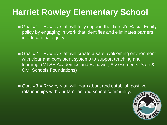# **Harriet Rowley Elementary School**

- Goal  $\#1$  = Rowley staff will fully support the district's Racial Equity policy by engaging in work that identifies and eliminates barriers in educational equity.
- Goal  $#2$  = Rowley staff will create a safe, welcoming environment with clear and consistent systems to support teaching and learning. (MTSS Academics and Behavior, Assessments, Safe & Civil Schools Foundations)
- $\blacksquare$  Goal #3 = Rowley staff will learn about and establish positive relationships with our families and school community.

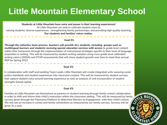# **Little Mountain Elementary School**

**Students at Little Mountain have voice and power in their learning experiences!** At Little Mountain we seek to cultivate student voice by valuing students' diverse experiences, strengthening family partnerships, and providing high quality teaching. **Our students and families' voices matter.**

#### **Goal #1:**

*Through the collective team process, teachers will provide ALL students, including groups such as multilingual learners and students receiving special education services with access* to grade level content within their homeroom through the implementation of instructional strategies specific to their level of language acquisition in writing. This will be measured by student writing samples using cross grade level calibrated writing rubrics (WIDA) and STAR assessments that will show student growth over time to meet their annual SGP by Spring 2022

#### **Goal #2:**

In collaboration with staff and building Team Leads, Little Mountain will create integrated units weaving social justice standards and student experiences into classroom content. This will be measured by student surveys that capture student voice around learning experience as well as analysis of unit incorporation of student strengths based capital.

#### **Goal #3:**

Families at Little Mountain see themselves as partners in student learning through family-school collaboration in order to shift and inform their child's instruction within the classroom setting. This will be measured by family surveys given through the Panorama Platform to determine Barriers to Engagement with their child's school. We will see an increase in school and family connections as measured by our family surveys. Surveys will be given 3x a year.

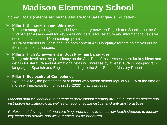## **Madison Elementary School**

**School Goals (categorized by the 3 Pillars for Dual Language Education)**

#### ➢ **Pillar 1: Bilingualism and Biliteracy**

The percentage point gap in grade level mastery between English and Spanish on the Star End of Year Assessment for key ideas and details for literature and informational texts will decrease by at least 10 percentage points.

100% of teachers will post and use both content AND language targets/objectives during their instructional lessons.

#### ➢ **Pillar 2: High Achievement in Both Program Languages**

The grade level mastery proficiency on the Star End of Year Assessment for key ideas and details for literature and informational texts will increase by at least 10% in both program languages (Spanish and English) according to the Star Student Mastery Report

#### ➢ **Pillar 3: Sociocultural Competence**

By June 2021, the percentage of students who attend school regularly (95% of the time or more) will increase from 74% (2019-2020) to at least 78%

*Madison staff will continue to engage in professional learning around: curriculum design and instruction for biliteracy, as well as on equity, social justice, and antiracist practices.* 

*Professional development and coaching around how to effectively teach students to identify key ideas and details, and while reading will be prioritized.*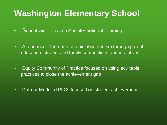## **Washington Elementary School**

- School-wide focus on Social/Emotional Learning
- **EXE** Attendance: Decrease chronic absenteeism through parent education, student and family competitions and incentives
- Equity Community of Practice focused on using equitable practices to close the achievement gap
- **DuFour Modeled PLCs focused on student achievement**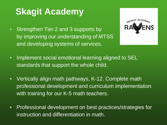# **Skagit Academy**

**EXECT:** Strengthen Tier 2 and 3 supports by by improving our understanding of MTSS and developing systems of services.



- Implement social emotional learning aligned to SEL standards that support the whole child.
- Vertically align math pathways, K-12. Complete math professional development and curriculum implementation with training for our K-5 math teachers.
- Professional development on best practices/strategies for instruction and differentiation in math.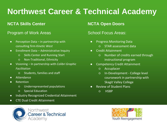## **Northwest Career & Technical Academy**

### **NCTA Skills Center**

#### Program of Work Areas

- $\bullet$  Perception Data in partnership with consulting firm *Kinetic West*
- Enrollment Data Administrative Inquiry
	- Skills Center and Running Start
	- Non-Traditional, Ethnicity
- Visioning In partnership with *Colibri Graphic Facilitation*
	- Students, families and staff
- Attendance
- Retention
	- Underrepresented populations
	- Special Education
- Industry Recognized Credential Attainment
- CTE Dual Credit Attainment

### **NCTA Open Doors**

### School Focus Areas:

- Progress Monitoring Data
	- STAR assessment data
- Credit Attainment
	- Number of credits earned through instructional program
- Competency Credit Attainment
	- Accuplacer
	- In-Development College level coursework in partnership with Skagit Valley College
- **Review of Student Plans** 
	- HSBP